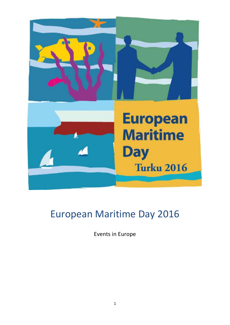

# European Maritime Day 2016

Events in Europe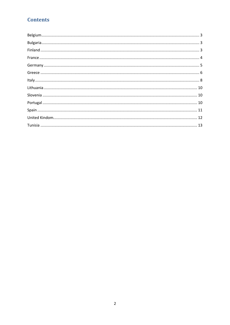# **Contents**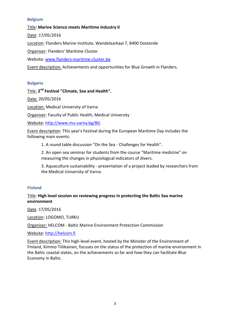#### <span id="page-2-0"></span>**Belgium**

Title**: Marine Science meets Maritime Industry II**

Date: 17/05/2016

Location: Flanders Marine Institute, Wandelaarkaai 7, 8400 Oostende

Organiser: Flanders' Maritime Cluster

Website: [www.flanders-maritime-cluster.be](http://www.flanders-maritime-cluster.be/)

<span id="page-2-1"></span>Event description: Achievements and opportunities for Blue Growth in Flanders.

#### **Bulgaria**

# Title: **2 nd Festival "Climate, Sea and Health".**

Date: 20/05/2016

Location: Medical University of Varna

Organiser: Faculty of Public Health, Medical University

Website:<http://www.mu-varna.bg/BG>

Event description: This year's Festival during the European Maritime Day includes the following main events:

1. A round table discussion "On the Sea - Challenges for Health".

2. An open sea seminar for students from the course "Maritime medicine" on measuring the changes in physiological indicators of divers.

3. Aquaculture sustainability - presentation of a project leaded by researchers from the Medical University of Varna.

#### <span id="page-2-2"></span>**Finland**

#### Title: **High level session on reviewing progress in protecting the Baltic Sea marine environment**

Date: 17/05/2016

Location: LOGOMO, TURKU

Organiser: HELCOM - Baltic Marine Environment Protection Commission

Website: [http://helcom.fi](http://helcom.fi/)

<span id="page-2-3"></span>Event description: This high-level event, hosted by the Minister of the Environment of Finland, Kimmo Tiilikainen, focuses on the status of the protection of marine environment in the Baltic coastal states, on the achievements so far and how they can facilitate Blue Economy in Baltic.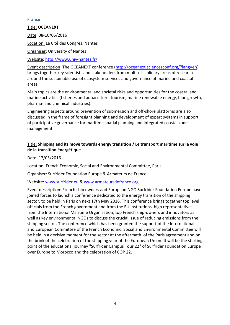#### **France**

Title: **OCEANEXT** Date: 08-10/06/2016 Location: La Cité des Congrès, Nantes Organiser: University of Nantes Website:<http://www.univ-nantes.fr/>

Event description: The OCEANEXT conference [\(http://oceanext.sciencesconf.org/?lang=en\)](http://oceanext.sciencesconf.org/?lang=en) brings together key scientists and stakeholders from multi-disciplinary areas of research around the sustainable use of ecosystem services and governance of marine and coastal areas.

Main topics are the environmental and societal risks and opportunities for the coastal and marine activities (fisheries and aquaculture, tourism, marine renewable energy, blue growth, pharma- and chemical industries).

Engineering aspects around prevention of submersion and off-shore platforms are also discussed in the frame of foresight planning and development of expert systems in support of participative governance for maritime spatial planning and integrated coastal zone management.

#### Title: **Shipping and its move towards energy transition / Le transport maritime sur la voie de la transition énergétique**

Date: 17/05/2016

Location: French Economic, Social and Environmental Committee, Paris

Organiser: Surfrider Foundation Europe & Armateurs de France

#### Website: [www.surfrider.eu](http://www.surfrider.eu/) & [www.armateursdefrance.org](http://www.armateursdefrance.org/)

<span id="page-3-0"></span>Event description: French ship owners and European NGO Surfrider Foundation Europe have joined forces to launch a conference dedicated to the energy transition of the shipping sector, to be held in Paris on next 17th May 2016. This conference brings together top level officials from the French government and from the EU institutions, high representatives from the International Maritime Organisation, top French ship-owners and innovators as well as key environmental NGOs to discuss the crucial issue of reducing emissions from the shipping sector. The conference which has been granted the support of the International and European Committee of the French Economic, Social and Environmental Committee will be held in a decisive moment for the sector at the aftermath of the Paris agreement and on the brink of the celebration of the shipping year of the European Union. It will be the starting point of the educational journey "Surfrider Campus Tour 22" of Surfrider Foundation Europe over Europe to Morocco and the celebration of COP 22.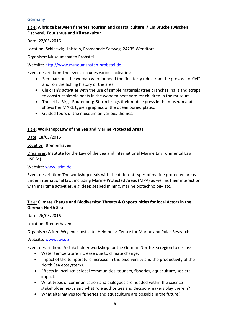#### **Germany**

#### Title: **A bridge between fisheries, tourism and coastal culture / Ein Brücke zwischen Fischerei, Tourismus und Küstenkultur**

Date: 22/05/2016

Location: Schleswig-Holstein, Promenade Seeweg, 24235 Wendtorf

Organiser: Museumshafen Probstei

Website: [http://www.museumshafen-probstei.de](http://www.museumshafen-probstei.de/)

Event description: The event includes various activities:

- Seminars on "the woman who founded the first ferry rides from the provost to Kiel" and "on the fishing history of the area".
- Children's activities with the use of simple materials (tree branches, nails and scraps to construct simple boats in the wooden boat yard for children in the museum.
- The artist Birgit Rautenberg-Sturm brings their mobile press in the museum and shows her MARE typien graphics of the ocean buried plates.
- Guided tours of the museum on various themes.

#### Title: **Workshop: Law of the Sea and Marine Protected Areas**

Date: 18/05/2016

Location: Bremerhaven

Organiser: Institute for the Law of the Sea and International Marine Environmental Law (ISRIM)

#### Website: [www.isrim.de](http://www.isrim.de/)

Event description: The workshop deals with the different types of marine protected areas under international law, including Marine Protected Areas (MPA) as well as their interaction with maritime activities, e.g. deep seabed mining, marine biotechnology etc.

# Title: **Climate Change and Biodiversity: Threats & Opportunities for local Actors in the German North Sea**

Date: 26/05/2016

Location: Bremerhaven

Organiser: Alfred-Wegener-Institute, Helmholtz-Centre for Marine and Polar Research

Website: [www.awi.de](http://www.awi.de/)

Event description: A stakeholder workshop for the German North Sea region to discuss:

- Water temperature increase due to climate change.
- Impact of the temperature increase in the biodiversity and the productivity of the North Sea ecosystems.
- Effects in local scale: local communities, tourism, fisheries, aquaculture, societal impact.
- What types of communication and dialogues are needed within the sciencestakeholder nexus and what role authorities and decision-makers play therein?
- What alternatives for fisheries and aquaculture are possible in the future?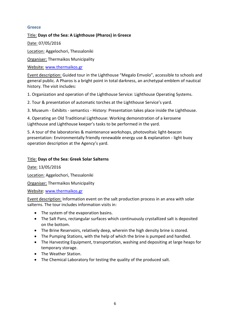### <span id="page-5-0"></span>**Greece**

# Title: **Days of the Sea: A Lighthouse (Pharos) in Greece**

Date: 07/05/2016

Location: Aggelochori, Thessaloniki

Organiser: Τhermaikos Municipality

Website: [www.thermaikos.gr](http://www.thermaikos.gr/)

Event description: Guided tour in the Lighthouse "Megalo Emvolo", accessible to schools and general public. A Pharos is a bright point in total darkness, an archetypal emblem of nautical history. The visit includes:

1. Organization and operation of the Lighthouse Service: Lighthouse Operating Systems.

2. Tour & presentation of automatic torches at the Lighthouse Service's yard.

3. Museum - Exhibits - semantics - History: Presentation takes place inside the Lighthouse.

4. Operating an Old Traditional Lighthouse: Working demonstration of a kerosene Lighthouse and Lighthouse keeper's tasks to be performed in the yard.

5. A tour of the laboratories & maintenance workshops, photovoltaic light-beacon presentation: Environmentally friendly renewable energy use & explanation - light buoy operation description at the Agency's yard.

# Title: **Days of the Sea: Greek Solar Salterns**

Date: 13/05/2016

Location: Aggelochori, Thessaloniki

Organiser: Thermaikos Municipality

Website: [www.thermaikos.gr](http://www.thermaikos.gr/)

Event description: Information event on the salt production process in an area with solar salterns. The tour includes information visits in:

- The system of the evaporation basins.
- The Salt Pans, rectangular surfaces which continuously crystallized salt is deposited on the bottom.
- The Brine Reservoirs, relatively deep, wherein the high density brine is stored.
- The Pumping Stations, with the help of which the brine is pumped and handled.
- The Harvesting Equipment, transportation, washing and depositing at large heaps for temporary storage.
- The Weather Station.
- The Chemical Laboratory for testing the quality of the produced salt.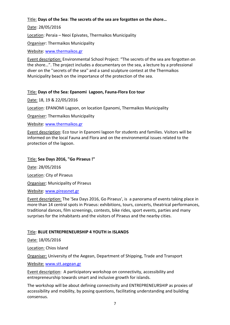# Title: **Days of the Sea**: **The secrets of the sea are forgotten on the shore…**

Date: 28/05/2016

Location: Peraia – Neoi Epivates, Thermaikos Municipality

Organiser: Thermaikos Municipality

Website: [www.thermaikos.gr](http://www.thermaikos.gr/)

Event description: Environmental School Project: "The secrets of the sea are forgotten on the shore…". The project includes a documentary on the sea, a lecture by a professional diver on the ''secrets of the sea'' and a sand sculpture contest at the Thermaikos Municipality beach on the importance of the protection of the sea.

# Title: **Days of the Sea: Epanomi Lagoon, Fauna-Flora Eco tour**

Date: 18, 19 & 22/05/2016

Location: EPANOMI Lagoon, on location Epanomi, Thermaikos Municipality

Organiser: Thermaikos Municipality

Website: [www.thermaikos.gr](http://www.thermaikos.gr/)

Event description: Eco tour in Epanomi lagoon for students and families. Visitors will be informed on the local Fauna and Flora and on the environmental issues related to the protection of the lagoon.

#### Title: **Sea Days 2016, "Go Piraeus !"**

Date: 28/05/2016 Location: City of Piraeus

Organiser: Municipality of Piraeus

Website: [www.pireasnet.gr](http://www.pireasnet.gr/)

Event description: The 'Sea Days 2016, Go Piraeus', is a panorama of events taking place in more than 14 central spots in Piraeus: exhibitions, tours, concerts, theatrical performances, traditional dances, film screenings, contests, bike rides, sport events, parties and many surprises for the inhabitants and the visitors of Piraeus and the nearby cities.

# Title: **BLUE ENTREPRENEURSHIP 4 YOUTH in ISLANDS**

Date: 18/05/2016

Location: Chios Island

Organiser: University of the Aegean, Department of Shipping, Trade and Transport

Website: [www.stt.aegean.gr](http://www.stt.aegean.gr/)

Event description: A participatory workshop on connectivity, accessibility and entrepreneurship towards smart and inclusive growth for islands.

The workshop will be about defining connectivity and ENTREPRENEURSHIP as proxies of accessibility and mobility, by posing questions, facilitating understanding and building consensus.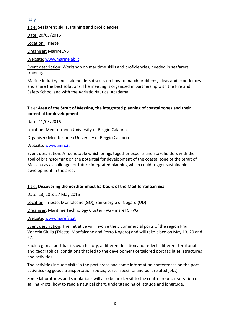#### <span id="page-7-0"></span>**Italy**

#### Title: **Seafarers: skills, training and proficiencies**

Date: 20/05/2016

Location: Trieste

Organiser: MarineLAB

Website: [www.marinelab.it](http://www.marinelab.it/)

Event description: Workshop on maritime skills and proficiencies, needed in seafarers' training.

Marine industry and stakeholders discuss on how to match problems, ideas and experiences and share the best solutions. The meeting is organized in partnership with the Fire and Safety School and with the Adriatic Nautical Academy.

# Title**: Area of the Strait of Messina, the integrated planning of coastal zones and their potential for development**

Date: 11/05/2016

Location: Mediterranea University of Reggio Calabria

Organiser: Mediterranea University of Reggio Calabria

Website: [www.unirc.it](http://www.unirc.it/)

Event description: A roundtable which brings together experts and stakeholders with the goal of brainstorming on the potential for development of the coastal zone of the Strait of Messina as a challenge for future integrated planning which could trigger sustainable development in the area.

#### Title: **Discovering the northernmost harbours of the Mediterranean Sea**

Date: 13, 20 & 27 May 2016

Location: Trieste, Monfalcone (GO), San Giorgio di Nogaro (UD)

Organiser: Maritime Technology Cluster FVG - mareTC FVG

Website: [www.marefvg.it](http://www.marefvg.it/)

Event description: The initiative will involve the 3 commercial ports of the region Friuli Venezia Giulia (Trieste, Monfalcone and Porto Nogaro) and will take place on May 13, 20 and 27.

Each regional port has its own history, a different location and reflects different territorial and geographical conditions that led to the development of tailored port facilities, structures and activities.

The activities include visits in the port areas and some information conferences on the port activities (eg goods transportation routes, vessel specifics and port related jobs).

Some laboratories and simulations will also be held: visit to the control room, realization of sailing knots, how to read a nautical chart, understanding of latitude and longitude.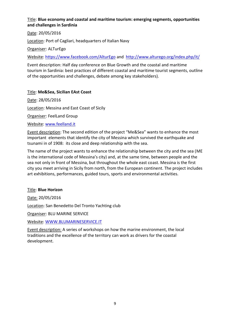# Title: **Blue economy and coastal and maritime tourism: emerging segments, opportunities and challenges in Sardinia**

Date: 20/05/2016

Location: Port of Cagliari, headquarters of Italian Navy

Organiser: ALTurEgo

Website:<https://www.facebook.com/AlturEgo> and <http://www.alturego.org/index.php/it/>

Event description: Half day conference on Blue Growth and the coastal and maritime tourism in Sardinia: best practices of different coastal and maritime tourist segments, outline of the opportunities and challenges, debate among key stakeholders).

# Title: **Me&Sea, Sicilian EAst Coast**

Date: 28/05/2016 Location: Messina and East Coast of Sicily Organiser: FeelLand Group

Website: [www.feelland.it](http://www.feelland.it/)

Event description: The second edition of the project "Me&Sea" wants to enhance the most important elements that identify the city of Messina which survived the earthquake and tsunami in of 1908: its close and deep relationship with the sea.

The name of the project wants to enhance the relationship between the city and the sea (ME is the international code of Messina's city) and, at the same time, between people and the sea not only in front of Messina, but throughout the whole east coast. Messina is the first city you meet arriving in Sicily from north, from the European continent. The project includes art exhibitions, performances, guided tours, sports and environmental activities.

#### Title: **Blue Horizon**

Date: 20/05/2016

Location: San Benedetto Del Tronto Yachting club

Organiser: BLU MARINE SERVICE

Website: [WWW.BLUMARINESERVICE.IT](http://www.blumarineservice.it/)

<span id="page-8-0"></span>Event description: A series of workshops on how the marine environment, the local traditions and the excellence of the territory can work as drivers for the coastal development.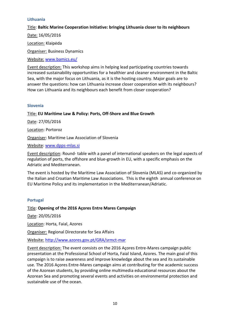#### **Lithuania**

#### Title: **Baltic Marine Cooperation Initiative: bringing Lithuania closer to its neighbours**

Date: 16/05/2016

Location: Klaipėda

Organiser: Business Dynamics

Website: [www.bamics.eu/](http://www.bamics.eu/)

Event description: This workshop aims in helping lead participating countries towards increased sustainability opportunities for a healthier and cleaner environment in the Baltic Sea, with the major focus on Lithuania, as it is the hosting country. Major goals are to answer the questions: how can Lithuania increase closer cooperation with its neighbours? How can Lithuania and its neighbours each benefit from closer cooperation?

#### <span id="page-9-0"></span>**Slovenia**

Title: **EU Maritime Law & Policy: Ports, Off-Shore and Blue Growth**

Date: 27/05/2016

Location: Portoroz

Organiser: Maritime Law Association of Slovenia

Website: [www.dpps-mlas.si](http://www.dpps-mlas.si/)

Event description: Round- table with a panel of international speakers on the legal aspects of regulation of ports, the offshore and blue-growth in EU, with a specific emphasis on the Adriatic and Mediterranean.

The event is hosted by the Maritime Law Association of Slovenia (MLAS) and co-organized by the Italian and Croatian Maritime Law Associations. This is the eighth annual conference on EU Maritime Policy and its implementation in the Mediterranean/Adriatic.

#### <span id="page-9-1"></span>**Portugal**

#### Title: **Opening of the 2016 Açores Entre Mares Campaign**

Date: 20/05/2016

Location: Horta, Faial, Azores

Organiser: Regional Directorate for Sea Affairs

Website: <http://www.azores.gov.pt/GRA/srmct-mar>

<span id="page-9-2"></span>Event description: The event consists on the 2016 Açores Entre-Mares campaign public presentation at the Professional School of Horta, Faial Island, Azores. The main goal of this campaign is to raise awareness and improve knowledge about the sea and its sustainable use. The 2016 Açores Entre-Mares campaign aims at contributing for the academic success of the Azorean students, by providing online multimedia educational resources about the Azorean Sea and promoting several events and activities on environmental protection and sustainable use of the ocean.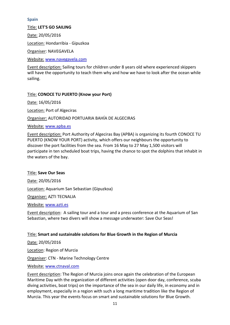### **Spain**

#### Title: **LET'S GO SAILING**

Date: 20/05/2016

Location: Hondarribia - Gipuzkoa

Organiser: NAVEGAVELA

Website: [www.navegavela.com](http://www.navegavela.com/)

Event description: Sailing tours for children under 8 years old where experienced skippers will have the opportunity to teach them why and how we have to look after the ocean while sailing.

# Title: **CONOCE TU PUERTO (Know your Port)**

Date: 16/05/2016

Location: Port of Algeciras

Organiser: AUTORIDAD PORTUARIA BAHÍA DE ALGECIRAS

Website: [www.apba.es](http://www.apba.es/)

Event description: Port Authority of Algeciras Bay (APBA) is organizing its fourth CONOCE TU PUERTO (KNOW YOUR PORT) activity, which offers our neighbours the opportunity to discover the port facilities from the sea. From 16 May to 27 May 1,500 visitors will participate in ten scheduled boat trips, having the chance to spot the dolphins that inhabit in the waters of the bay.

#### Title: **Save Our Seas**

Date: 20/05/2016 Location: Aquarium San Sebastian (Gipuzkoa) Organiser: AZTI TECNALIA

Website: [www.azti.es](http://www.azti.es/)

Event description: A sailing tour and a tour and a press conference at the Aquarium of San Sebastian, where two divers will show a message underwater: Save Our Seas!

# Title: **Smart and sustainable solutions for Blue Growth in the Region of Murcia**

Date: 20/05/2016 Location: Region of Murcia Organiser: CTN - Marine Technology Centre Website: [www.ctnaval.com](http://www.ctnaval.com/)

Event description: The Region of Murcia joins once again the celebration of the European Maritime Day with the organization of different activities (open door day, conference, scuba diving activities, boat trips) on the importance of the sea in our daily life, in economy and in employment, especially in a region with such a long maritime tradition like the Region of Murcia. This year the events focus on smart and sustainable solutions for Blue Growth.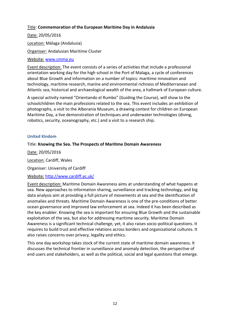#### Title: **Commemoration of the European Maritime Day in Andalusia**

Date: 20/05/2016

Location: Málaga (Andalusia)

Organiser: Andalusian Maritime Cluster

#### Website: [www.cmma.eu](http://www.cmma.eu/)

Event description: The event consists of a series of activities that include a professional orientation working day for the high school in the Port of Malaga, a cycle of conferences about Blue Growth and information on a number of topics: maritime innovation and technology, maritime research, marine and environmental richness of Mediterranean and Atlantic sea, historical and archaeological wealth of the area, a hallmark of European culture.

A special activity named "Orientando el Rumbo" (Guiding the Course), will show to the schoolchildren the main professions related to the sea. This event includes an exhibition of photographs, a visit to the Alborania Museum, a drawing contest for children on European Maritime Day, a live demonstration of techniques and underwater technologies (diving, robotics, security, oceanography, etc.) and a visit to a research ship.

#### <span id="page-11-0"></span>**United Kindom**

#### Title: **Knowing the Sea. The Prospects of Maritime Domain Awareness**

Date: 20/05/2016 Location: Cardiff, Wales Organiser: University of Cardiff

#### Website: <http://www.cardiff.ac.uk/>

Event description: Maritime Domain Awareness aims at understanding of what happens at sea. New approaches to information sharing, surveillance and tracking technology, and big data analysis aim at providing a full picture of movements at sea and the identification of anomalies and threats. Maritime Domain Awareness is one of the pre-conditions of better ocean governance and improved law enforcement at sea. Indeed it has been described as the key enabler. Knowing the sea is important for ensuring Blue Growth and the sustainable exploitation of the sea, but also for addressing maritime security. Maritime Domain Awareness is a significant technical challenge, yet, it also raises socio-political questions. It requires to build trust and effective relations across borders and organizational cultures. It also raises concerns over privacy, legality and ethics.

<span id="page-11-1"></span>This one day workshop takes stock of the current state of maritime domain awareness. It discusses the technical frontier in surveillance and anomaly detection, the perspective of end users and stakeholders, as well as the political, social and legal questions that emerge.